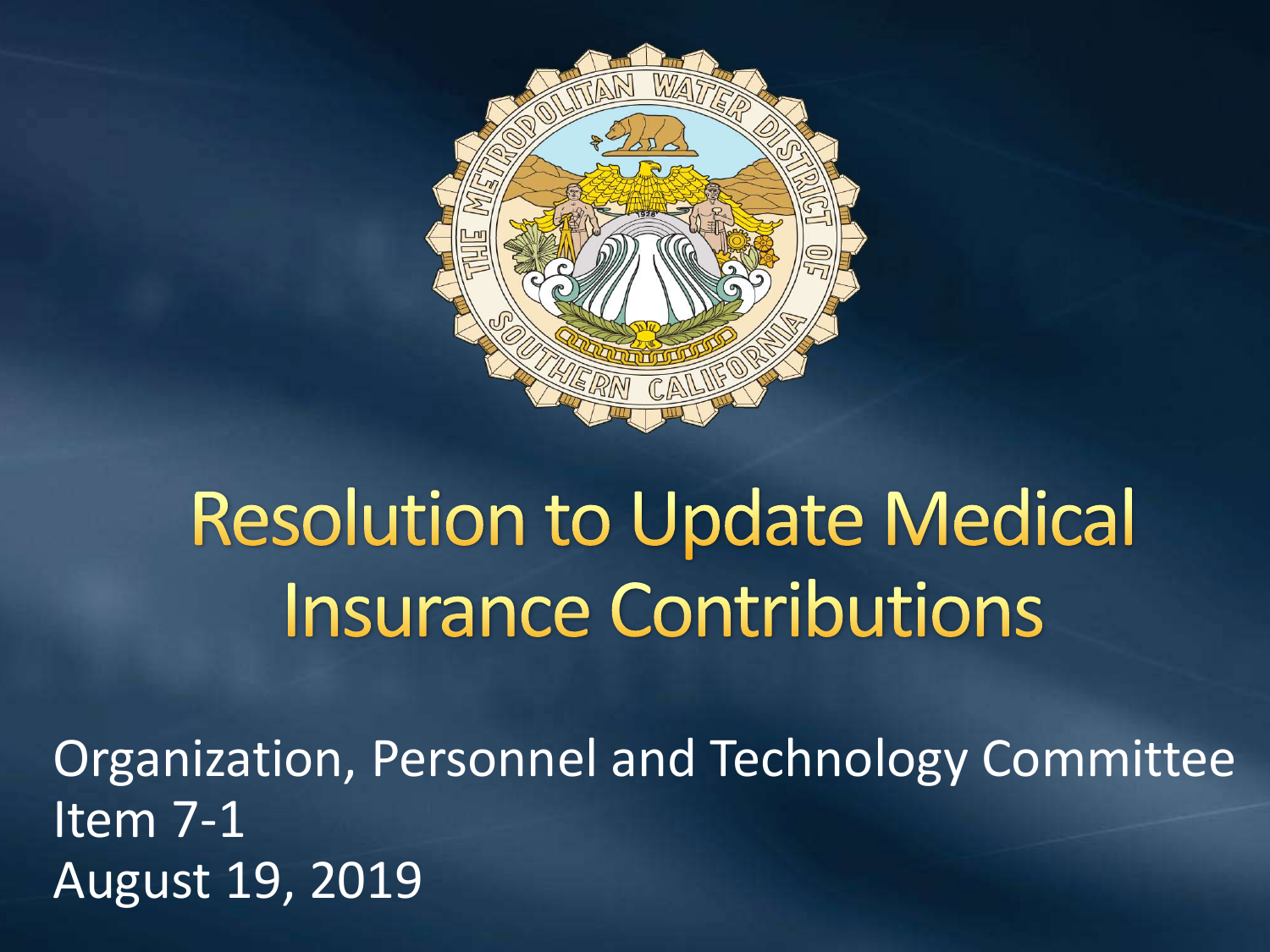

# **Resolution to Update Medical Insurance Contributions**

Organization, Personnel and Technology Committee Item 7-1 August 19, 2019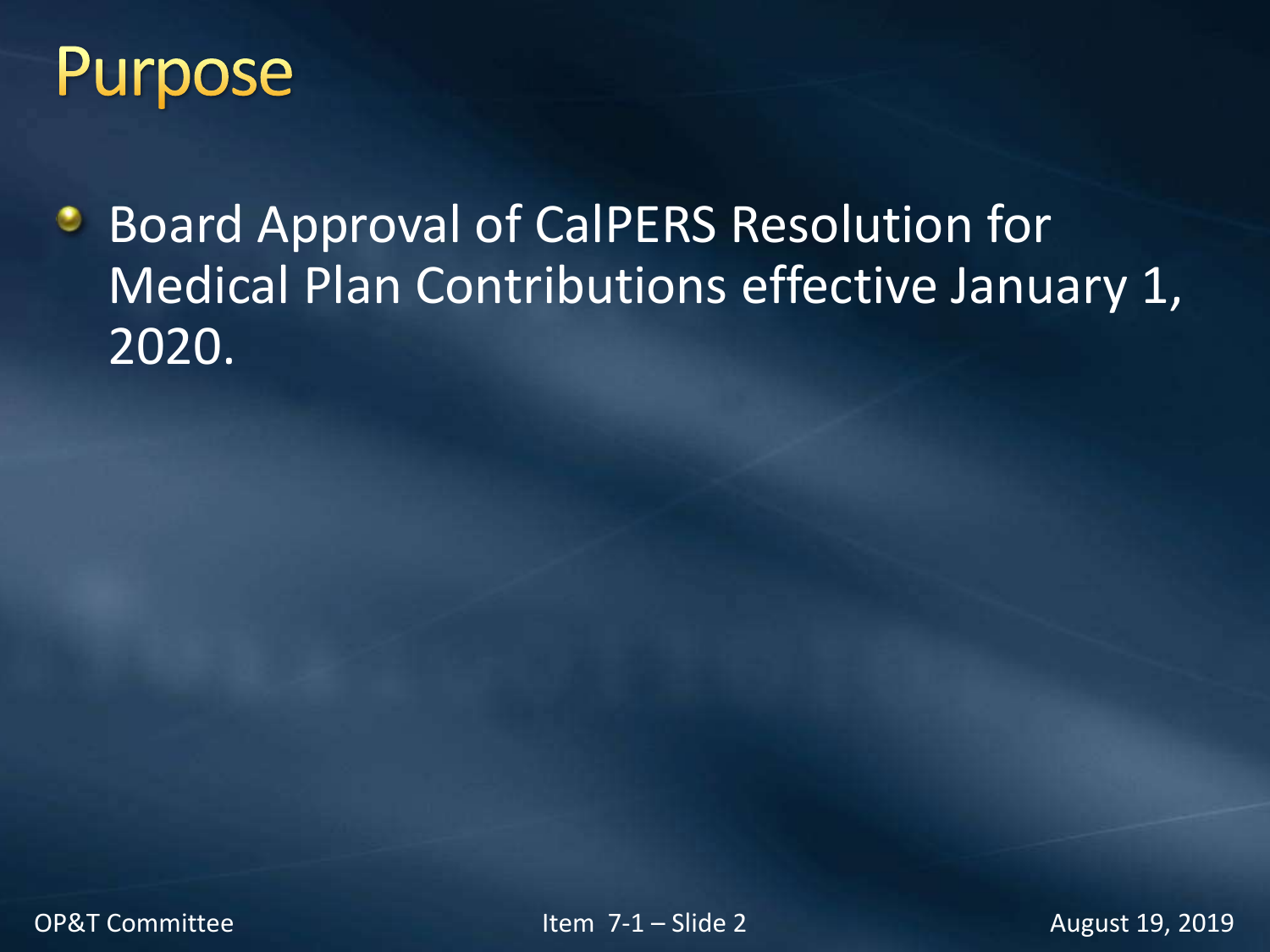

Board Approval of CalPERS Resolution for ۰ Medical Plan Contributions effective January 1, 2020.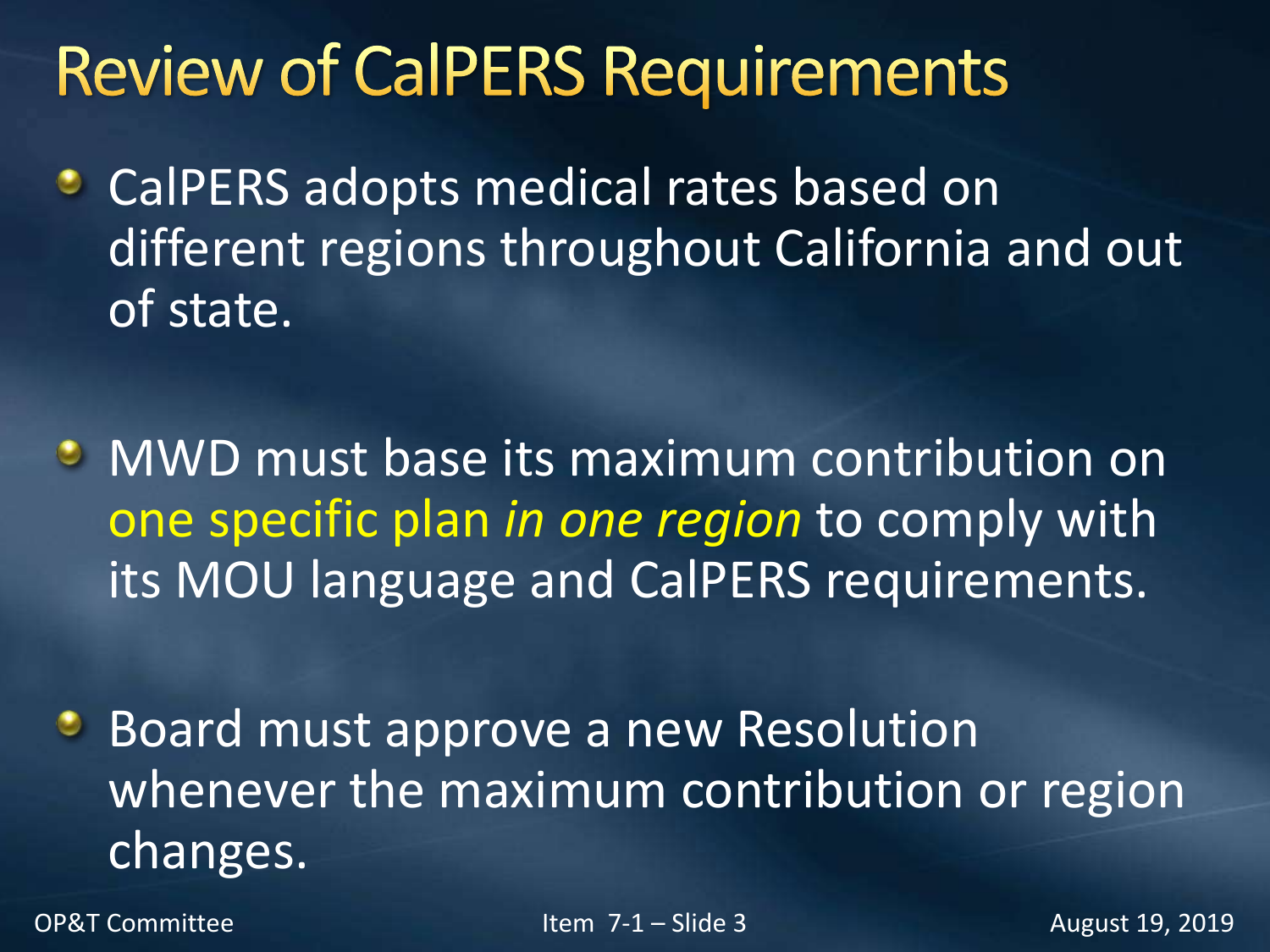# **Review of CalPERS Requirements**

- CalPERS adopts medical rates based on ٥ different regions throughout California and out of state.
- MWD must base its maximum contribution on one specific plan *in one region* to comply with its MOU language and CalPERS requirements.
- **Board must approve a new Resolution** whenever the maximum contribution or region changes.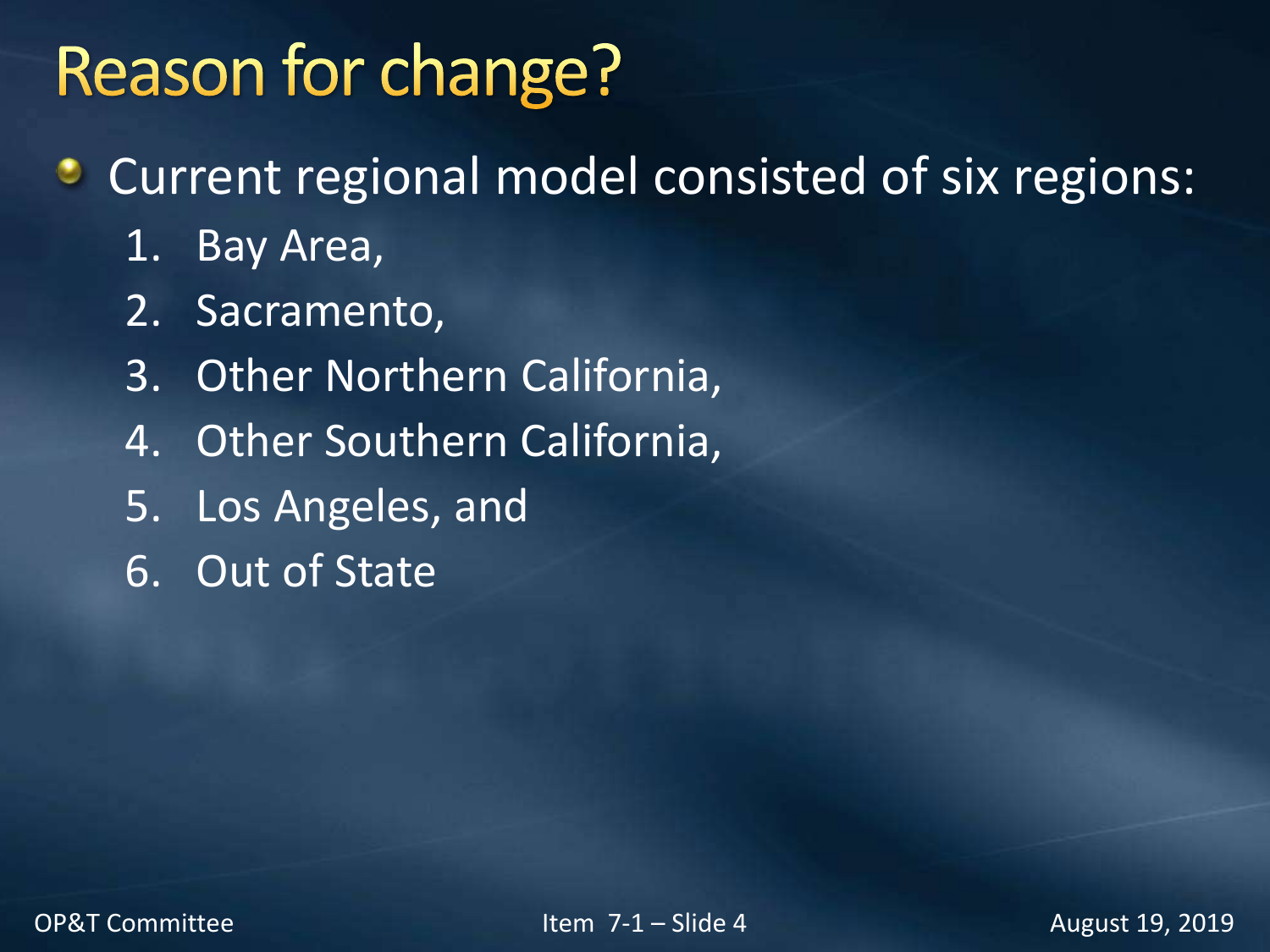# **Reason for change?**

- Current regional model consisted of six regions:
	- 1. Bay Area,
	- 2. Sacramento,
	- 3. Other Northern California,
	- 4. Other Southern California,
	- 5. Los Angeles, and
	- 6. Out of State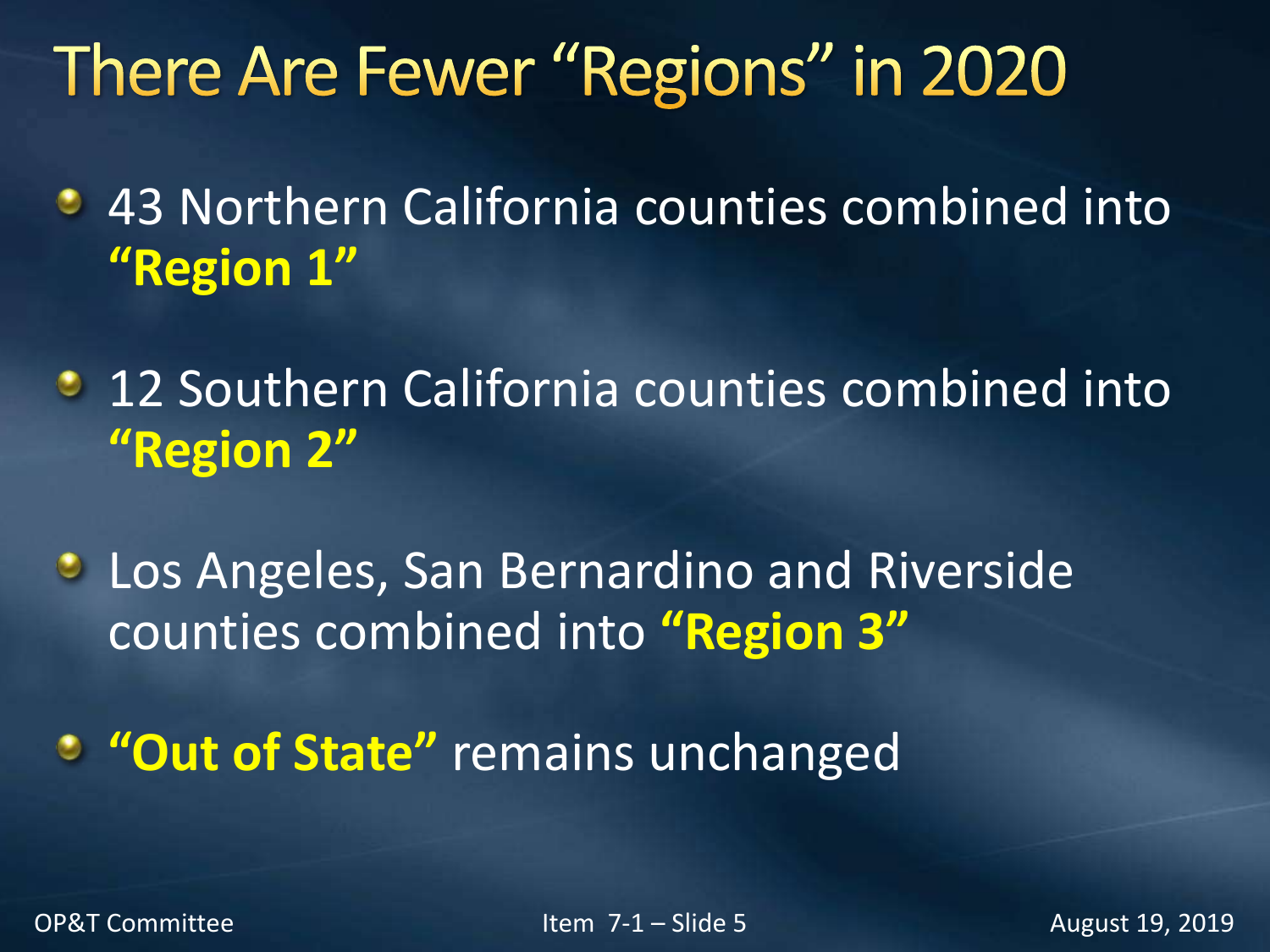# There Are Fewer "Regions" in 2020

- **43 Northern California counties combined into "Region 1"**
- **12 Southern California counties combined into "Region 2"**
- **Los Angeles, San Bernardino and Riverside** counties combined into **"Region 3"**

**"Out of State"** remains unchanged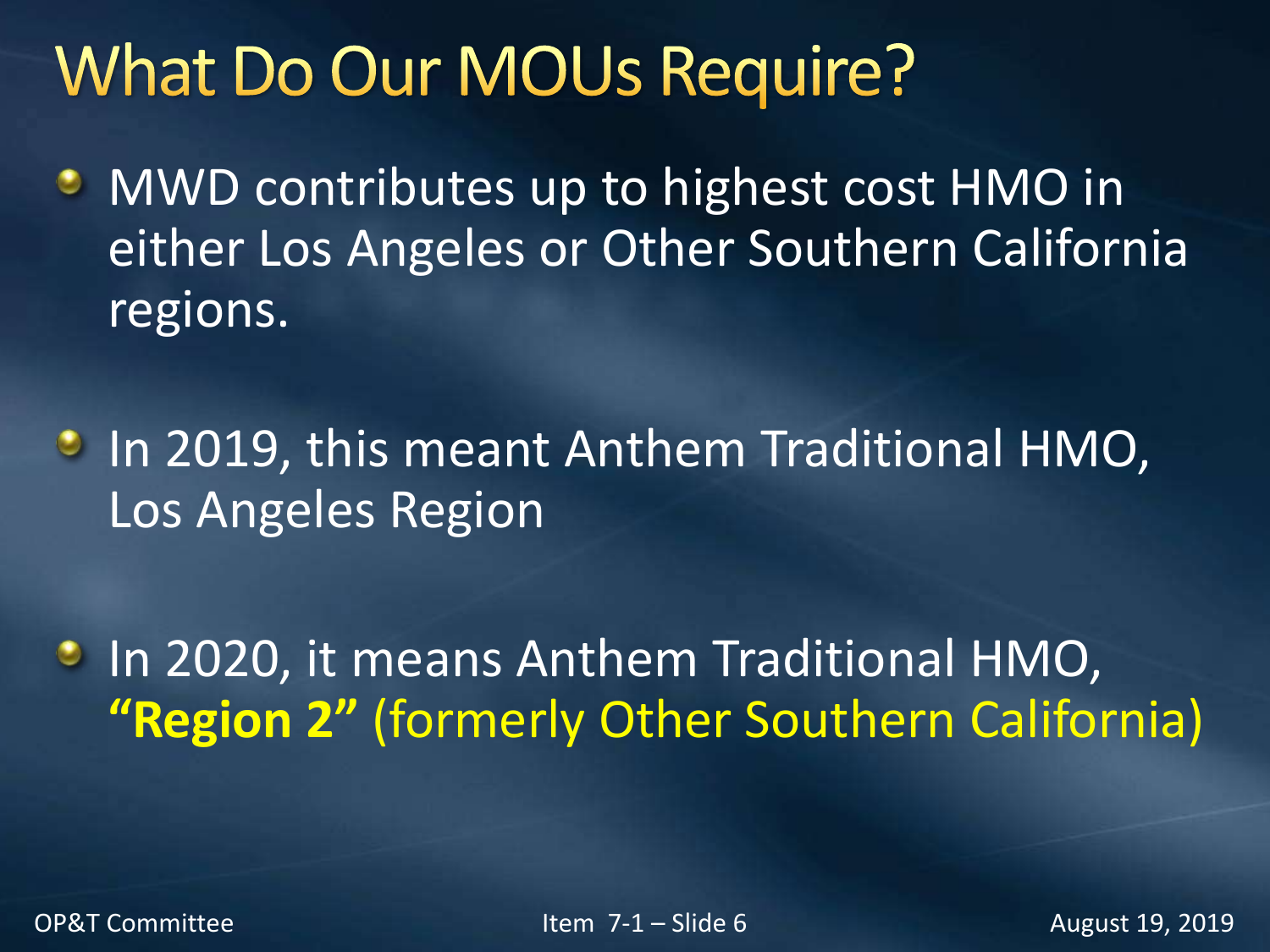## **What Do Our MOUs Require?**

- **MWD contributes up to highest cost HMO in** either Los Angeles or Other Southern California regions.
- **In 2019, this meant Anthem Traditional HMO,** Los Angeles Region

**In 2020, it means Anthem Traditional HMO, "Region 2"** (formerly Other Southern California)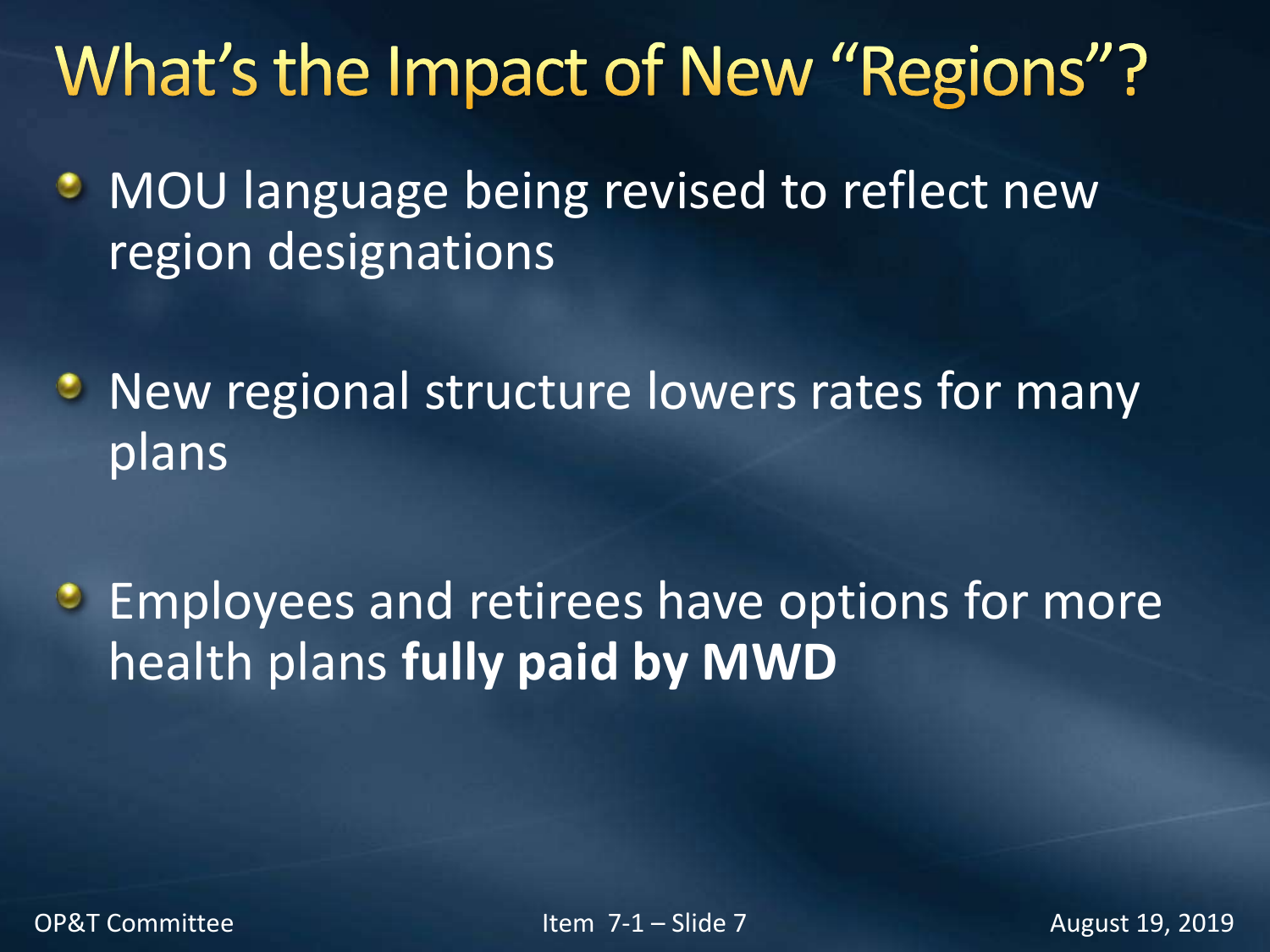# What's the Impact of New "Regions"?

- MOU language being revised to reflect new  $\bullet$ region designations
- **New regional structure lowers rates for many** plans
- **Employees and retirees have options for more** health plans **fully paid by MWD**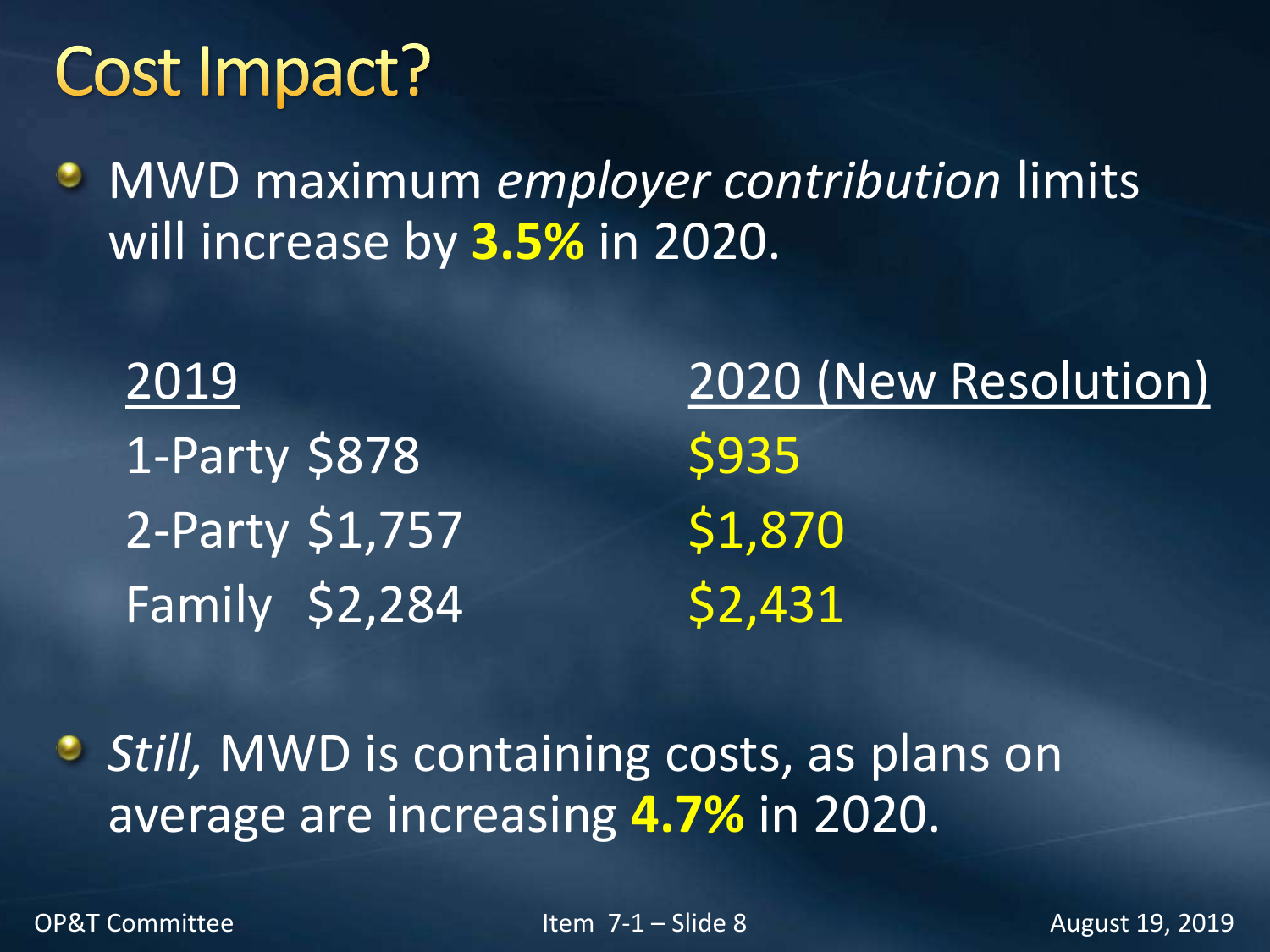#### Cost Impact?

MWD maximum *employer contribution* limits will increase by **3.5%** in 2020.

1-Party \$878 \$935 2-Party \$1,757 \$1,870 Family \$2,284 \$2,431

2019 2020 (New Resolution)

**B** Still, MWD is containing costs, as plans on average are increasing **4.7%** in 2020.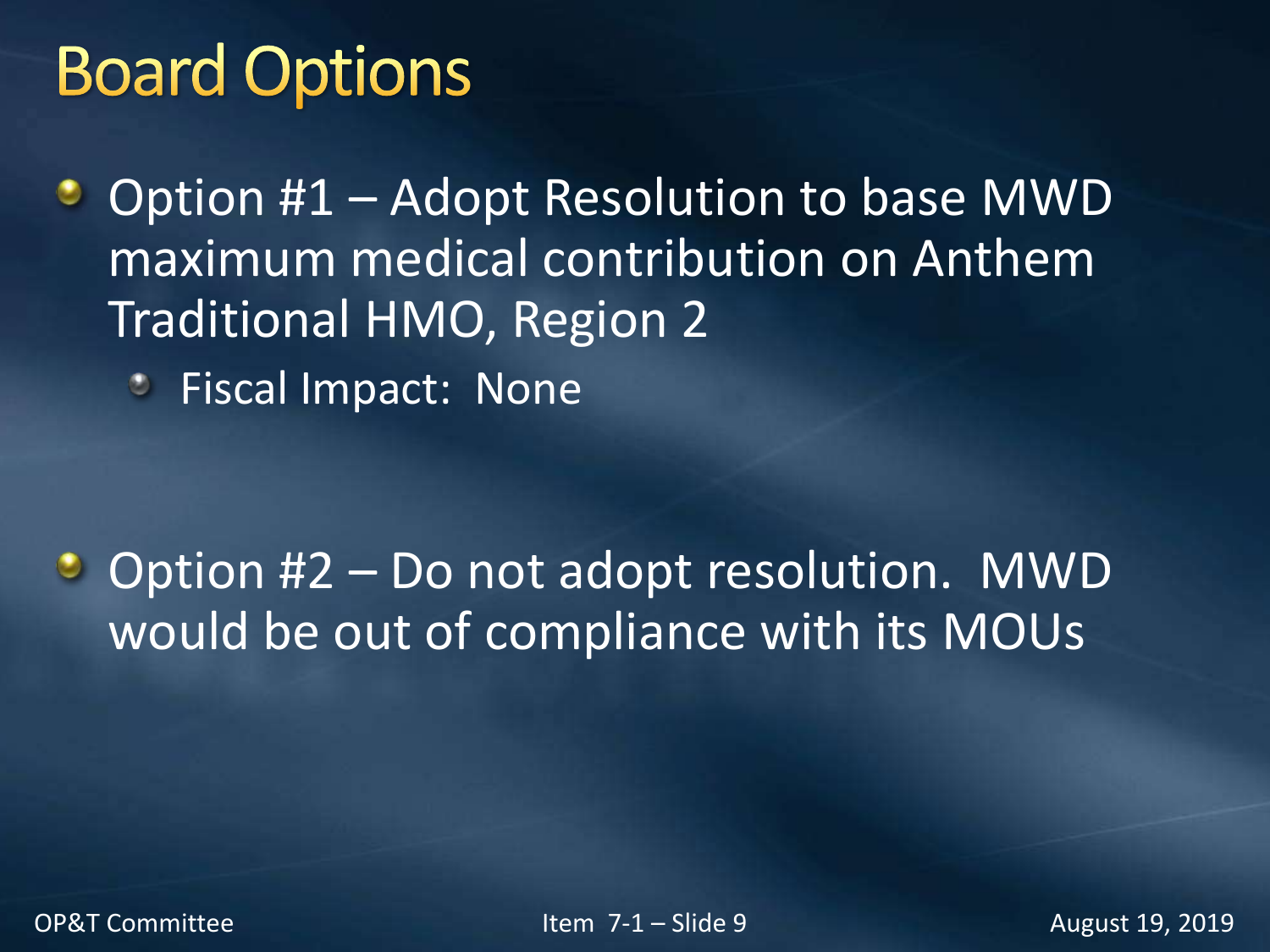# **Board Options**

Option #1 – Adopt Resolution to base MWD ٠ maximum medical contribution on Anthem Traditional HMO, Region 2

Fiscal Impact: None ۰

• Option #2 – Do not adopt resolution. MWD would be out of compliance with its MOUs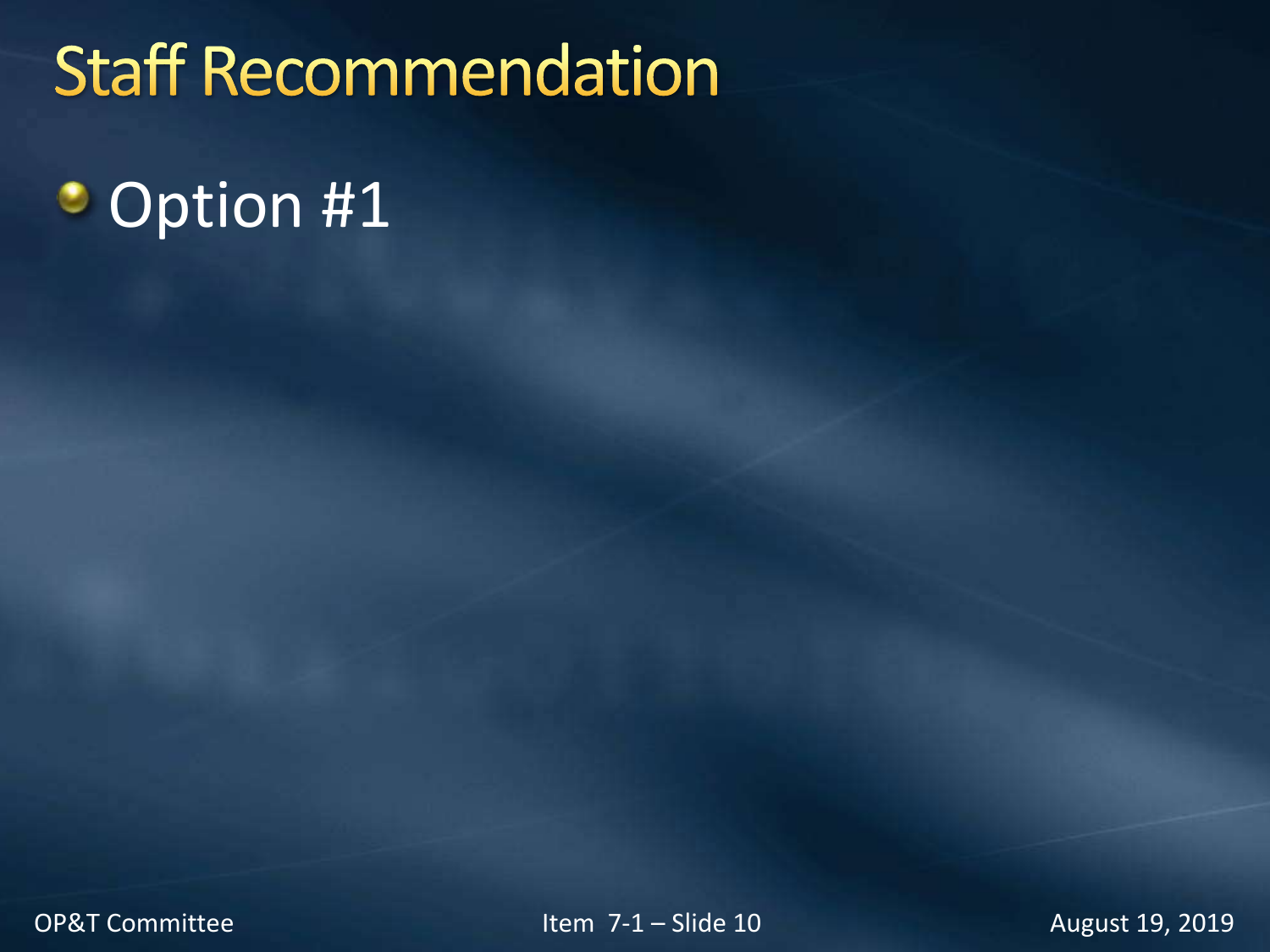# **Staff Recommendation**

#### **Option #1**